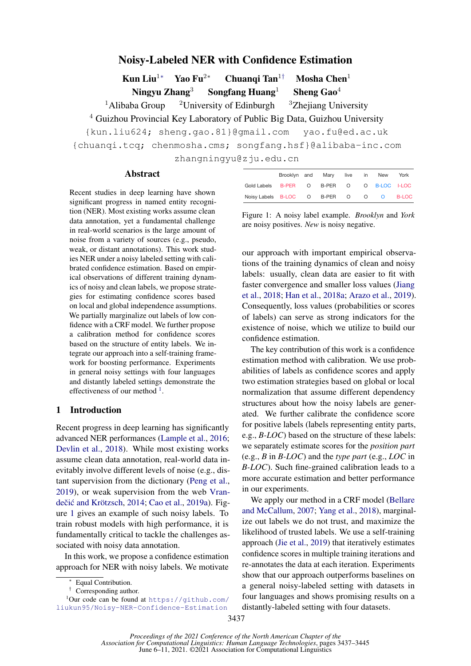# Noisy-Labeled NER with Confidence Estimation

Kun Liu<sup>1</sup>∗ Yao Fu<sup>2</sup>∗ Chuangi Tan<sup>1†</sup> Mosha Chen<sup>1</sup> Ningyu Zhang<sup>3</sup> Songfang Huang<sup>1</sup> Sheng Gao<sup>4</sup>

<sup>1</sup>Alibaba Group <sup>2</sup>University of Edinburgh <sup>3</sup>Zhejiang University

<sup>4</sup> Guizhou Provincial Key Laboratory of Public Big Data, Guizhou University

{kun.liu624; sheng.gao.81}@gmail.com yao.fu@ed.ac.uk

{chuanqi.tcq; chenmosha.cms; songfang.hsf}@alibaba-inc.com

zhangningyu@zju.edu.cn

### Abstract

Recent studies in deep learning have shown significant progress in named entity recognition (NER). Most existing works assume clean data annotation, yet a fundamental challenge in real-world scenarios is the large amount of noise from a variety of sources (e.g., pseudo, weak, or distant annotations). This work studies NER under a noisy labeled setting with calibrated confidence estimation. Based on empirical observations of different training dynamics of noisy and clean labels, we propose strategies for estimating confidence scores based on local and global independence assumptions. We partially marginalize out labels of low confidence with a CRF model. We further propose a calibration method for confidence scores based on the structure of entity labels. We integrate our approach into a self-training framework for boosting performance. Experiments in general noisy settings with four languages and distantly labeled settings demonstrate the effectiveness of our method  $<sup>1</sup>$  $<sup>1</sup>$  $<sup>1</sup>$ .</sup>

### 1 Introduction

Recent progress in deep learning has significantly advanced NER performances [\(Lample et al.,](#page-5-0) [2016;](#page-5-0) [Devlin et al.,](#page-5-1) [2018\)](#page-5-1). While most existing works assume clean data annotation, real-world data inevitably involve different levels of noise (e.g., distant supervision from the dictionary [\(Peng et al.,](#page-5-2) [2019\)](#page-5-2), or weak supervision from the web [Vran-](#page-6-0)dečić and Krötzsch, [2014;](#page-6-0) [Cao et al.,](#page-5-3) [2019a\)](#page-5-3). Figure [1](#page-0-1) gives an example of such noisy labels. To train robust models with high performance, it is fundamentally critical to tackle the challenges associated with noisy data annotation.

In this work, we propose a confidence estimation approach for NER with noisy labels. We motivate

<span id="page-0-1"></span>

|                                           |  | Brooklyn and Mary live |  | in New | York  |
|-------------------------------------------|--|------------------------|--|--------|-------|
| Gold Labels B-PER O B-PER O O B-LOC I-LOC |  |                        |  |        |       |
| Noisy Labels B-LOC O B-PER O O O          |  |                        |  |        | B-LOC |

Figure 1: A noisy label example. *Brooklyn* and *York* are noisy positives. *New* is noisy negative.

our approach with important empirical observations of the training dynamics of clean and noisy labels: usually, clean data are easier to fit with faster convergence and smaller loss values [\(Jiang](#page-5-4) [et al.,](#page-5-4) [2018;](#page-5-4) [Han et al.,](#page-5-5) [2018a;](#page-5-5) [Arazo et al.,](#page-4-0) [2019\)](#page-4-0). Consequently, loss values (probabilities or scores of labels) can serve as strong indicators for the existence of noise, which we utilize to build our confidence estimation.

The key contribution of this work is a confidence estimation method with calibration. We use probabilities of labels as confidence scores and apply two estimation strategies based on global or local normalization that assume different dependency structures about how the noisy labels are generated. We further calibrate the confidence score for positive labels (labels representing entity parts, e.g., *B-LOC*) based on the structure of these labels: we separately estimate scores for the *position part* (e.g., *B* in *B-LOC*) and the *type part* (e.g., *LOC* in *B-LOC*). Such fine-grained calibration leads to a more accurate estimation and better performance in our experiments.

We apply our method in a CRF model [\(Bellare](#page-5-6) [and McCallum,](#page-5-6) [2007;](#page-5-6) [Yang et al.,](#page-6-1) [2018\)](#page-6-1), marginalize out labels we do not trust, and maximize the likelihood of trusted labels. We use a self-training approach [\(Jie et al.,](#page-5-7) [2019\)](#page-5-7) that iteratively estimates confidence scores in multiple training iterations and re-annotates the data at each iteration. Experiments show that our approach outperforms baselines on a general noisy-labeled setting with datasets in four languages and shows promising results on a distantly-labeled setting with four datasets.

Equal Contribution.

<span id="page-0-0"></span><sup>†</sup> Corresponding author.

 $1$ Our code can be found at [https://github.com/](https://github.com/liukun95/Noisy-NER-Confidence-Estimation) [liukun95/Noisy-NER-Confidence-Estimation](https://github.com/liukun95/Noisy-NER-Confidence-Estimation)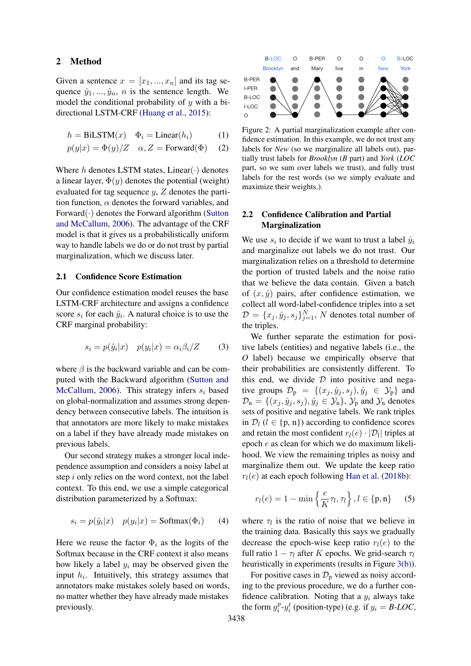### 2 Method

Given a sentence  $x = [x_1, ..., x_n]$  and its tag sequence  $\hat{y}_1, \dots, \hat{y}_n$ , *n* is the sentence length. We model the conditional probability of  $y$  with a bidirectional LSTM-CRF [\(Huang et al.,](#page-5-8) [2015\)](#page-5-8):

$$
h = \text{BiLSTM}(x) \quad \Phi_i = \text{Linear}(h_i) \tag{1}
$$

$$
p(y|x) = \Phi(y)/Z
$$
  $\alpha, Z = \text{Forward}(\Phi)$  (2)

Where h denotes LSTM states, Linear( $\cdot$ ) denotes a linear layer,  $\Phi(y)$  denotes the potential (weight) evaluated for tag sequence y, Z denotes the partition function,  $\alpha$  denotes the forward variables, and Forward $(\cdot)$  denotes the Forward algorithm [\(Sutton](#page-6-2) [and McCallum,](#page-6-2) [2006\)](#page-6-2). The advantage of the CRF model is that it gives us a probabilistically uniform way to handle labels we do or do not trust by partial marginalization, which we discuss later.

#### 2.1 Confidence Score Estimation

Our confidence estimation model reuses the base LSTM-CRF architecture and assigns a confidence score  $s_i$  for each  $\hat{y}_i$ . A natural choice is to use the CRF marginal probability:

$$
s_i = p(\hat{y}_i|x) \quad p(y_i|x) = \alpha_i \beta_i/Z \tag{3}
$$

where  $\beta$  is the backward variable and can be computed with the Backward algorithm [\(Sutton and](#page-6-2) [McCallum,](#page-6-2) [2006\)](#page-6-2). This strategy infers  $s_i$  based on global-normalization and assumes strong dependency between consecutive labels. The intuition is that annotators are more likely to make mistakes on a label if they have already made mistakes on previous labels.

Our second strategy makes a stronger local independence assumption and considers a noisy label at step i only relies on the word context, not the label context. To this end, we use a simple categorical distribution parameterized by a Softmax:

$$
s_i = p(\hat{y}_i|x) \quad p(y_i|x) = \text{Softmax}(\Phi_i) \tag{4}
$$

Here we reuse the factor  $\Phi_i$  as the logits of the Softmax because in the CRF context it also means how likely a label  $y_i$  may be observed given the input  $h_i$ . Intuitively, this strategy assumes that annotators make mistakes solely based on words, no matter whether they have already made mistakes previously.

<span id="page-1-0"></span>

Figure 2: A partial marginalization example after confidence estimation. In this example, we do not trust any labels for *New* (so we marginalize all labels out), partially trust labels for *Brooklyn* (*B* part) and *York* (*LOC* part, so we sum over labels we trust), and fully trust labels for the rest words (so we simply evaluate and maximize their weights.).

### 2.2 Confidence Calibration and Partial Marginalization

We use  $s_i$  to decide if we want to trust a label  $\hat{y}_i$ and marginalize out labels we do not trust. Our marginalization relies on a threshold to determine the portion of trusted labels and the noise ratio that we believe the data contain. Given a batch of  $(x, \hat{y})$  pairs, after confidence estimation, we collect all word-label-confidence triples into a set  $D = \{x_j, \hat{y}_j, s_j\}_{j=1}^N$ , N denotes total number of the triples.

We further separate the estimation for positive labels (entities) and negative labels (i.e., the *O* label) because we empirically observe that their probabilities are consistently different. To this end, we divide  $D$  into positive and negative groups  $\mathcal{D}_{p} = \{(x_j, \hat{y}_j, s_j), \hat{y}_j \in \mathcal{Y}_p\}$  and  $\mathcal{D}_n = \{(x_j, \hat{y}_j, s_j), \hat{y}_j \in \mathcal{Y}_n\}$ ,  $\mathcal{Y}_p$  and  $\mathcal{Y}_n$  denotes sets of positive and negative labels. We rank triples in  $\mathcal{D}_l$  ( $l \in \{p, n\}$ ) according to confidence scores and retain the most confident  $r_l(e) \cdot |\mathcal{D}_l|$  triples at epoch e as clean for which we do maximum likelihood. We view the remaining triples as noisy and marginalize them out. We update the keep ratio  $r_l(e)$  at each epoch following [Han et al.](#page-5-9) [\(2018b\)](#page-5-9):

$$
r_l(e) = 1 - \min\left\{\frac{e}{K}\tau_l, \tau_l\right\}, l \in \{\mathbf{p}, \mathbf{n}\}\qquad(5)
$$

where  $\tau_l$  is the ratio of noise that we believe in the training data. Basically this says we gradually decrease the epoch-wise keep ratio  $r_l(e)$  to the full ratio  $1 - \tau_l$  after K epochs. We grid-search  $\tau_l$ heuristically in experiments (results in Figure [3\(b\)\)](#page-3-0).

For positive cases in  $\mathcal{D}_p$  viewed as noisy according to the previous procedure, we do a further confidence calibration. Noting that a  $y_i$  always take the form  $y_i^p$  $i<sup>p</sup><sub>i</sub> - y<sup>t</sup><sub>i</sub>$  (position-type) (e.g. if  $y<sub>i</sub> = B\text{-}LOC$ )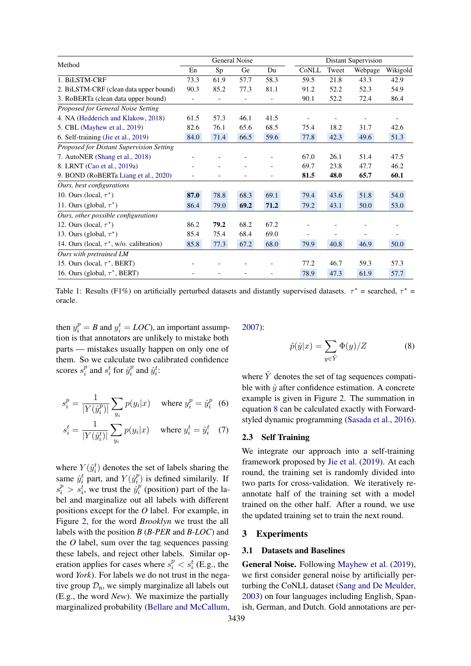<span id="page-2-1"></span>

| Method                                        | General Noise            |                |      |                |       | <b>Distant Supervision</b> |         |          |  |
|-----------------------------------------------|--------------------------|----------------|------|----------------|-------|----------------------------|---------|----------|--|
|                                               | En                       | Sp             | Ge   | Du             | CoNLL | Tweet                      | Webpage | Wikigold |  |
| 1. BiLSTM-CRF                                 | 73.3                     | 61.9           | 57.7 | 58.3           | 59.5  | 21.8                       | 43.3    | 42.9     |  |
| 2. BiLSTM-CRF (clean data upper bound)        | 90.3                     | 85.2           | 77.3 | 81.1           | 91.2  | 52.2                       | 52.3    | 54.9     |  |
| 3. RoBERTa (clean data upper bound)           | $\overline{\phantom{0}}$ | $\overline{a}$ | ٠    | $\overline{a}$ | 90.1  | 52.2                       | 72.4    | 86.4     |  |
| Proposed for General Noise Setting            |                          |                |      |                |       |                            |         |          |  |
| 4. NA (Hedderich and Klakow, 2018)            | 61.5                     | 57.3           | 46.1 | 41.5           |       |                            |         |          |  |
| 5. CBL (Mayhew et al., 2019)                  | 82.6                     | 76.1           | 65.6 | 68.5           | 75.4  | 18.2                       | 31.7    | 42.6     |  |
| 6. Self-training (Jie et al., 2019)           | 84.0                     | 71.4           | 66.5 | 59.6           | 77.8  | 42.3                       | 49.6    | 51.3     |  |
| Proposed for Distant Supervision Setting      |                          |                |      |                |       |                            |         |          |  |
| 7. AutoNER (Shang et al., 2018)               |                          |                |      |                | 67.0  | 26.1                       | 51.4    | 47.5     |  |
| 8. LRNT (Cao et al., 2019a)                   |                          |                |      |                | 69.7  | 23.8                       | 47.7    | 46.2     |  |
| 9. BOND (RoBERTa Liang et al., 2020)          |                          |                |      | $\overline{a}$ | 81.5  | 48.0                       | 65.7    | 60.1     |  |
| Ours, best configurations                     |                          |                |      |                |       |                            |         |          |  |
| 10. Ours (local, $\tau^*$ )                   | 87.0                     | 78.8           | 68.3 | 69.1           | 79.4  | 43.6                       | 51.8    | 54.0     |  |
| 11. Ours (global, $\tau^*$ )                  | 86.4                     | 79.0           | 69.2 | 71.2           | 79.2  | 43.1                       | 50.0    | 53.0     |  |
| Ours, other possible configurations           |                          |                |      |                |       |                            |         |          |  |
| 12. Ours (local, $\tau^*$ )                   | 86.2                     | 79.2           | 68.2 | 67.2           |       |                            |         |          |  |
| 13. Ours (global, $\tau^*$ )                  | 85.4                     | 75.4           | 68.4 | 69.0           |       |                            |         |          |  |
| 14. Ours (local, $\tau^*$ , w/o. calibration) | 85.8                     | 77.3           | 67.2 | 68.0           | 79.9  | 40.8                       | 46.9    | 50.0     |  |
| Ours with pretrained LM                       |                          |                |      |                |       |                            |         |          |  |
| 15. Ours (local, $\tau^*$ , BERT)             |                          |                |      |                | 77.2  | 46.7                       | 59.3    | 57.3     |  |
| 16. Ours (global, $\tau^*$ , BERT)            |                          |                |      |                | 78.9  | 47.3                       | 61.9    | 57.7     |  |

Table 1: Results (F1%) on artificially perturbed datasets and distantly supervised datasets.  $\tau^*$  = searched,  $\tau^*$  = oracle.

then  $y_i^p = B$  and  $y_i^t = LOC$ ), an important assumption is that annotators are unlikely to mistake both parts — mistakes usually happen on only one of them. So we calculate two calibrated confidence scores  $s_i^p$  $\sum_{i=1}^{p}$  and  $s_i^t$  for  $\hat{y}_i^p$  $i$ <sup>*n*</sup> and  $\hat{y}_i^t$ :

$$
s_i^p = \frac{1}{|Y(\hat{y}_i^p)|} \sum_{y_i} p(y_i|x) \quad \text{where } y_i^p = \hat{y}_i^p \quad (6)
$$

$$
s_i^t = \frac{1}{|Y(\hat{y}_i^t)|} \sum_{y_i} p(y_i|x) \quad \text{where } y_i^t = \hat{y}_i^t \quad (7)
$$

where  $Y(\hat{y}_i^t)$  denotes the set of labels sharing the same  $\hat{y}_i^t$  part, and  $Y(\hat{y}_i^p)$  $i$ <sup>*p*</sup>) is defined similarily. If  $s_i^p > s_i^t$ , we trust the  $\hat{y}_i^p$  $i<sup>p</sup>$  (position) part of the label and marginalize out all labels with different positions except for the *O* label. For example, in Figure [2,](#page-1-0) for the word *Brooklyn* we trust the all labels with the position *B* (*B-PER* and *B-LOC*) and the *O* label, sum over the tag sequences passing these labels, and reject other labels. Similar operation applies for cases where  $s_i^p < s_i^t$  (E.g., the word *York*). For labels we do not trust in the negative group  $\mathcal{D}_n$ , we simply marginalize all labels out (E.g., the word *New*). We maximize the partially marginalized probability [\(Bellare and McCallum,](#page-5-6) [2007\)](#page-5-6):

<span id="page-2-0"></span>
$$
\tilde{p}(\hat{y}|x) = \sum_{y \in \tilde{Y}} \Phi(y)/Z \tag{8}
$$

where  $\tilde{Y}$  denotes the set of tag sequences compatible with  $\hat{y}$  after confidence estimation. A concrete example is given in Figure [2.](#page-1-0) The summation in equation [8](#page-2-0) can be calculated exactly with Forwardstyled dynamic programming [\(Sasada et al.,](#page-6-4) [2016\)](#page-6-4).

#### 2.3 Self Training

We integrate our approach into a self-training framework proposed by [Jie et al.](#page-5-7) [\(2019\)](#page-5-7). At each round, the training set is randomly divided into two parts for cross-validation. We iteratively reannotate half of the training set with a model trained on the other half. After a round, we use the updated training set to train the next round.

### 3 Experiments

### 3.1 Datasets and Baselines

General Noise. Following [Mayhew et al.](#page-5-11) [\(2019\)](#page-5-11), we first consider general noise by artificially perturbing the CoNLL dataset [\(Sang and De Meulder,](#page-6-5) [2003\)](#page-6-5) on four languages including English, Spanish, German, and Dutch. Gold annotations are per-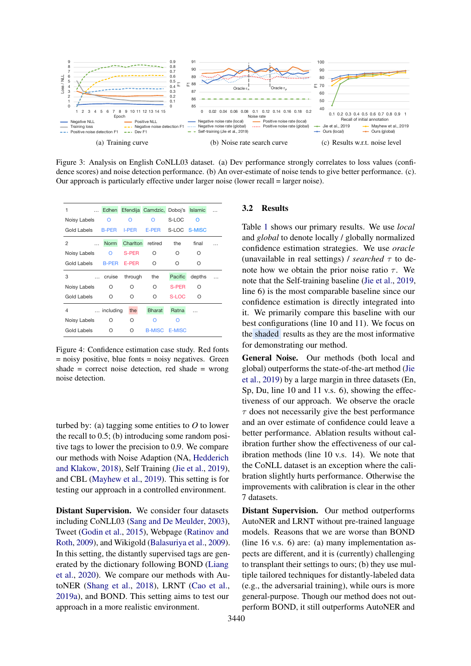<span id="page-3-1"></span>

Figure 3: Analysis on English CoNLL03 dataset. (a) Dev performance strongly correlates to loss values (confidence scores) and noise detection performance. (b) An over-estimate of noise tends to give better performance. (c). Our approach is particularly effective under larger noise (lower recall = larger noise). Extending Constant retired the final constant Constant Constant retired the final extending Constant Constant Constant Constant retired the final extending  $\frac{1}{2}$  Constant Constant retired the final constant and *globa* 

<span id="page-3-3"></span>

| 1            | Edhen        |              | Efendija Camdzic, Doboj's Islamic |               |              |  |
|--------------|--------------|--------------|-----------------------------------|---------------|--------------|--|
| Noisy Labels | $\Omega$     | റ            | ∩                                 | S-LOC         | $\Omega$     |  |
| Gold Labels  | <b>B-PER</b> | I-PER        | E-PER                             |               | S-LOC S-MISC |  |
| 2            | <b>Norm</b>  | Charlton     | retired                           | the           | final        |  |
| Noisy Labels | O            | <b>S-PER</b> | Ο                                 | Ο             | O            |  |
| Gold Labels  | <b>B-PER</b> | E-PER        | Ο                                 | Ο             | O            |  |
| 3            | cruise       | through      | the                               | Pacific       | depths       |  |
| Noisy Labels | O            | Ω            | Ω                                 | S-PER         | Ω            |  |
| Gold Labels  | O            | Ο            | O                                 | S-LOC         | Ω            |  |
| 4            | including    | the          | <b>Bharat</b>                     | Ratna         |              |  |
| Noisy Labels | O            | Ο            | Ω                                 | ∩             |              |  |
| Gold Labels  | Ο            | $\Omega$     | <b>B-MISC</b>                     | <b>E-MISC</b> |              |  |

Figure 4: Confidence estimation case study. Red fonts = noisy positive, blue fonts = noisy negatives. Green shade  $=$  correct noise detection, red shade  $=$  wrong noise detection.

turbed by: (a) tagging some entities to *O* to lower the recall to 0.5; (b) introducing some random positive tags to lower the precision to 0.9. We compare our methods with Noise Adaption (NA, [Hedderich](#page-5-10) [and Klakow,](#page-5-10) [2018\)](#page-5-10), Self Training [\(Jie et al.,](#page-5-7) [2019\)](#page-5-7), and CBL [\(Mayhew et al.,](#page-5-11) [2019\)](#page-5-11). This setting is for testing our approach in a controlled environment.

Distant Supervision. We consider four datasets including CoNLL03 [\(Sang and De Meulder,](#page-6-5) [2003\)](#page-6-5), Tweet [\(Godin et al.,](#page-5-13) [2015\)](#page-5-13), Webpage [\(Ratinov and](#page-5-14) [Roth,](#page-5-14) [2009\)](#page-5-14), and Wikigold [\(Balasuriya et al.,](#page-5-15) [2009\)](#page-5-15). In this setting, the distantly supervised tags are generated by the dictionary following BOND [\(Liang](#page-5-12) [et al.,](#page-5-12) [2020\)](#page-5-12). We compare our methods with AutoNER [\(Shang et al.,](#page-6-3) [2018\)](#page-6-3), LRNT [\(Cao et al.,](#page-5-3) [2019a\)](#page-5-3), and BOND. This setting aims to test our approach in a more realistic environment.

#### <span id="page-3-2"></span><span id="page-3-0"></span>3.2 Results

**E-PER** C C C C C (unavailable in real settings) / searched  $\tau$  to de-<br>
... cruise through the **Pacific** depths ... Table 1 shows our primary results. We use *local* and *global* to denote locally / globally normalized confidence estimation strategies. We use *oracle* (unavailable in real settings) */ searched*  $\tau$  to denote how we obtain the prior noise ratio  $\tau$ . We note that the Self-training baseline [\(Jie et al.,](#page-5-7) [2019,](#page-5-7) line 6) is the most comparable baseline since our confidence estimation is directly integrated into it. We primarily compare this baseline with our best configurations (line 10 and 11). We focus on the shaded results as they are the most informative for demonstrating our method.

> General Noise. Our methods (both local and global) outperforms the state-of-the-art method [\(Jie](#page-5-7) [et al.,](#page-5-7) [2019\)](#page-5-7) by a large margin in three datasets (En, Sp, Du, line 10 and 11 v.s. 6), showing the effectiveness of our approach. We observe the oracle  $\tau$  does not necessarily give the best performance and an over estimate of confidence could leave a better performance. Ablation results without calibration further show the effectiveness of our calibration methods (line 10 v.s. 14). We note that the CoNLL dataset is an exception where the calibration slightly hurts performance. Otherwise the improvements with calibration is clear in the other 7 datasets.

> Distant Supervision. Our method outperforms AutoNER and LRNT without pre-trained language models. Reasons that we are worse than BOND (line 16 v.s. 6) are: (a) many implementation aspects are different, and it is (currently) challenging to transplant their settings to ours; (b) they use multiple tailored techniques for distantly-labeled data (e.g., the adversarial training), while ours is more general-purpose. Though our method does not outperform BOND, it still outperforms AutoNER and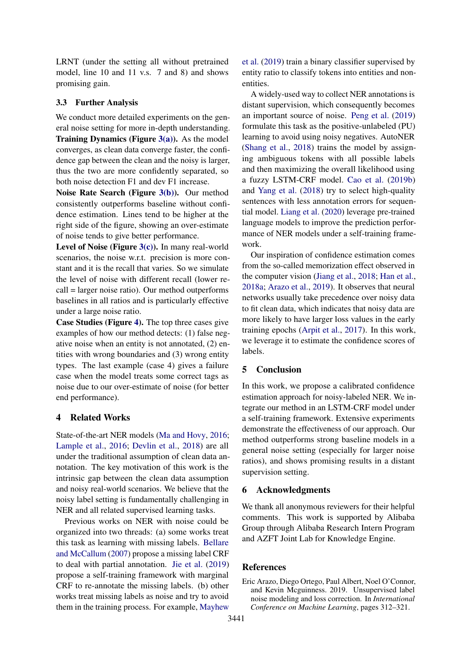LRNT (under the setting all without pretrained model, line 10 and 11 v.s. 7 and 8) and shows promising gain.

### 3.3 Further Analysis

We conduct more detailed experiments on the general noise setting for more in-depth understanding. Training Dynamics (Figure  $3(a)$ ). As the model converges, as clean data converge faster, the confidence gap between the clean and the noisy is larger, thus the two are more confidently separated, so both noise detection F1 and dev F1 increase.

Noise Rate Search (Figure [3\(b\)\)](#page-3-0). Our method consistently outperforms baseline without confidence estimation. Lines tend to be higher at the right side of the figure, showing an over-estimate of noise tends to give better performance.

Level of Noise (Figure [3\(c\)\)](#page-3-2). In many real-world scenarios, the noise w.r.t. precision is more constant and it is the recall that varies. So we simulate the level of noise with different recall (lower recall = larger noise ratio). Our method outperforms baselines in all ratios and is particularly effective under a large noise ratio.

Case Studies (Figure [4\)](#page-3-3). The top three cases give examples of how our method detects: (1) false negative noise when an entity is not annotated, (2) entities with wrong boundaries and (3) wrong entity types. The last example (case 4) gives a failure case when the model treats some correct tags as noise due to our over-estimate of noise (for better end performance).

### 4 Related Works

State-of-the-art NER models [\(Ma and Hovy,](#page-5-16) [2016;](#page-5-16) [Lample et al.,](#page-5-0) [2016;](#page-5-0) [Devlin et al.,](#page-5-1) [2018\)](#page-5-1) are all under the traditional assumption of clean data annotation. The key motivation of this work is the intrinsic gap between the clean data assumption and noisy real-world scenarios. We believe that the noisy label setting is fundamentally challenging in NER and all related supervised learning tasks.

Previous works on NER with noise could be organized into two threads: (a) some works treat this task as learning with missing labels. [Bellare](#page-5-6) [and McCallum](#page-5-6) [\(2007\)](#page-5-6) propose a missing label CRF to deal with partial annotation. [Jie et al.](#page-5-7) [\(2019\)](#page-5-7) propose a self-training framework with marginal CRF to re-annotate the missing labels. (b) other works treat missing labels as noise and try to avoid them in the training process. For example, [Mayhew](#page-5-11) [et al.](#page-5-11) [\(2019\)](#page-5-11) train a binary classifier supervised by entity ratio to classify tokens into entities and nonentities.

A widely-used way to collect NER annotations is distant supervision, which consequently becomes an important source of noise. [Peng et al.](#page-5-2) [\(2019\)](#page-5-2) formulate this task as the positive-unlabeled (PU) learning to avoid using noisy negatives. AutoNER [\(Shang et al.,](#page-6-3) [2018\)](#page-6-3) trains the model by assigning ambiguous tokens with all possible labels and then maximizing the overall likelihood using a fuzzy LSTM-CRF model. [Cao et al.](#page-5-17) [\(2019b\)](#page-5-17) and [Yang et al.](#page-6-1) [\(2018\)](#page-6-1) try to select high-quality sentences with less annotation errors for sequential model. [Liang et al.](#page-5-12) [\(2020\)](#page-5-12) leverage pre-trained language models to improve the prediction performance of NER models under a self-training framework.

Our inspiration of confidence estimation comes from the so-called memorization effect observed in the computer vision [\(Jiang et al.,](#page-5-4) [2018;](#page-5-4) [Han et al.,](#page-5-5) [2018a;](#page-5-5) [Arazo et al.,](#page-4-0) [2019\)](#page-4-0). It observes that neural networks usually take precedence over noisy data to fit clean data, which indicates that noisy data are more likely to have larger loss values in the early training epochs [\(Arpit et al.,](#page-5-18) [2017\)](#page-5-18). In this work, we leverage it to estimate the confidence scores of labels.

## 5 Conclusion

In this work, we propose a calibrated confidence estimation approach for noisy-labeled NER. We integrate our method in an LSTM-CRF model under a self-training framework. Extensive experiments demonstrate the effectiveness of our approach. Our method outperforms strong baseline models in a general noise setting (especially for larger noise ratios), and shows promising results in a distant supervision setting.

### 6 Acknowledgments

We thank all anonymous reviewers for their helpful comments. This work is supported by Alibaba Group through Alibaba Research Intern Program and AZFT Joint Lab for Knowledge Engine.

### References

<span id="page-4-0"></span>Eric Arazo, Diego Ortego, Paul Albert, Noel O'Connor, and Kevin Mcguinness. 2019. Unsupervised label noise modeling and loss correction. In *International Conference on Machine Learning*, pages 312–321.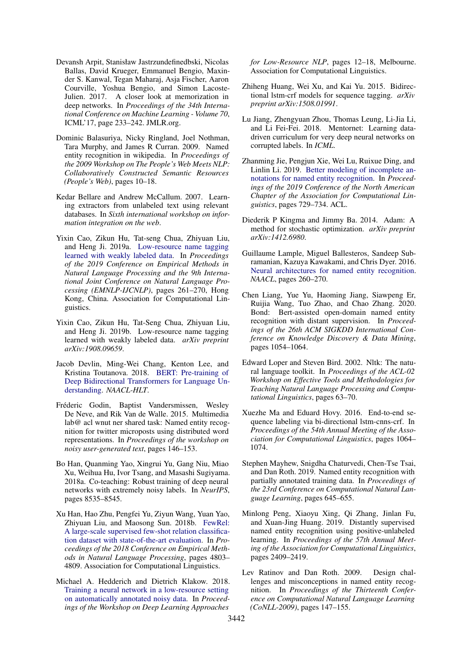- <span id="page-5-18"></span>Devansh Arpit, Stanisław Jastrzundefinedbski, Nicolas Ballas, David Krueger, Emmanuel Bengio, Maxinder S. Kanwal, Tegan Maharaj, Asja Fischer, Aaron Courville, Yoshua Bengio, and Simon Lacoste-Julien. 2017. A closer look at memorization in deep networks. In *Proceedings of the 34th International Conference on Machine Learning - Volume 70*, ICML'17, page 233–242. JMLR.org.
- <span id="page-5-15"></span>Dominic Balasuriya, Nicky Ringland, Joel Nothman, Tara Murphy, and James R Curran. 2009. Named entity recognition in wikipedia. In *Proceedings of the 2009 Workshop on The People's Web Meets NLP: Collaboratively Constructed Semantic Resources (People's Web)*, pages 10–18.
- <span id="page-5-6"></span>Kedar Bellare and Andrew McCallum. 2007. Learning extractors from unlabeled text using relevant databases. In *Sixth international workshop on information integration on the web*.
- <span id="page-5-3"></span>Yixin Cao, Zikun Hu, Tat-seng Chua, Zhiyuan Liu, and Heng Ji. 2019a. [Low-resource name tagging](https://doi.org/10.18653/v1/D19-1025) [learned with weakly labeled data.](https://doi.org/10.18653/v1/D19-1025) In *Proceedings of the 2019 Conference on Empirical Methods in Natural Language Processing and the 9th International Joint Conference on Natural Language Processing (EMNLP-IJCNLP)*, pages 261–270, Hong Kong, China. Association for Computational Linguistics.
- <span id="page-5-17"></span>Yixin Cao, Zikun Hu, Tat-Seng Chua, Zhiyuan Liu, and Heng Ji. 2019b. Low-resource name tagging learned with weakly labeled data. *arXiv preprint arXiv:1908.09659*.
- <span id="page-5-1"></span>Jacob Devlin, Ming-Wei Chang, Kenton Lee, and Kristina Toutanova. 2018. [BERT: Pre-training of](http://arxiv.org/abs/1810.04805) [Deep Bidirectional Transformers for Language Un](http://arxiv.org/abs/1810.04805)[derstanding.](http://arxiv.org/abs/1810.04805) *NAACL-HLT*.
- <span id="page-5-13"></span>Fréderic Godin, Baptist Vandersmissen, Wesley De Neve, and Rik Van de Walle. 2015. Multimedia lab@ acl wnut ner shared task: Named entity recognition for twitter microposts using distributed word representations. In *Proceedings of the workshop on noisy user-generated text*, pages 146–153.
- <span id="page-5-5"></span>Bo Han, Quanming Yao, Xingrui Yu, Gang Niu, Miao Xu, Weihua Hu, Ivor Tsang, and Masashi Sugiyama. 2018a. Co-teaching: Robust training of deep neural networks with extremely noisy labels. In *NeurIPS*, pages 8535–8545.
- <span id="page-5-9"></span>Xu Han, Hao Zhu, Pengfei Yu, Ziyun Wang, Yuan Yao, Zhiyuan Liu, and Maosong Sun. 2018b. [FewRel:](https://doi.org/10.18653/v1/D18-1514) [A large-scale supervised few-shot relation classifica](https://doi.org/10.18653/v1/D18-1514)[tion dataset with state-of-the-art evaluation.](https://doi.org/10.18653/v1/D18-1514) In *Proceedings of the 2018 Conference on Empirical Methods in Natural Language Processing*, pages 4803– 4809. Association for Computational Linguistics.
- <span id="page-5-10"></span>Michael A. Hedderich and Dietrich Klakow. 2018. [Training a neural network in a low-resource setting](https://doi.org/10.18653/v1/W18-3402) [on automatically annotated noisy data.](https://doi.org/10.18653/v1/W18-3402) In *Proceedings of the Workshop on Deep Learning Approaches*

*for Low-Resource NLP*, pages 12–18, Melbourne. Association for Computational Linguistics.

- <span id="page-5-8"></span>Zhiheng Huang, Wei Xu, and Kai Yu. 2015. Bidirectional lstm-crf models for sequence tagging. *arXiv preprint arXiv:1508.01991*.
- <span id="page-5-4"></span>Lu Jiang, Zhengyuan Zhou, Thomas Leung, Li-Jia Li, and Li Fei-Fei. 2018. Mentornet: Learning datadriven curriculum for very deep neural networks on corrupted labels. In *ICML*.
- <span id="page-5-7"></span>Zhanming Jie, Pengjun Xie, Wei Lu, Ruixue Ding, and Linlin Li. 2019. [Better modeling of incomplete an](https://doi.org/10.18653/v1/N19-1079)[notations for named entity recognition.](https://doi.org/10.18653/v1/N19-1079) In *Proceedings of the 2019 Conference of the North American Chapter of the Association for Computational Linguistics*, pages 729–734. ACL.
- <span id="page-5-20"></span>Diederik P Kingma and Jimmy Ba. 2014. Adam: A method for stochastic optimization. *arXiv preprint arXiv:1412.6980*.
- <span id="page-5-0"></span>Guillaume Lample, Miguel Ballesteros, Sandeep Subramanian, Kazuya Kawakami, and Chris Dyer. 2016. [Neural architectures for named entity recognition.](http://arxiv.org/abs/arXiv:1603.01360v3) *NAACL*, pages 260–270.
- <span id="page-5-12"></span>Chen Liang, Yue Yu, Haoming Jiang, Siawpeng Er, Ruijia Wang, Tuo Zhao, and Chao Zhang. 2020. Bond: Bert-assisted open-domain named entity recognition with distant supervision. In *Proceedings of the 26th ACM SIGKDD International Conference on Knowledge Discovery & Data Mining*, pages 1054–1064.
- <span id="page-5-19"></span>Edward Loper and Steven Bird. 2002. Nltk: The natural language toolkit. In *Proceedings of the ACL-02 Workshop on Effective Tools and Methodologies for Teaching Natural Language Processing and Computational Linguistics*, pages 63–70.
- <span id="page-5-16"></span>Xuezhe Ma and Eduard Hovy. 2016. End-to-end sequence labeling via bi-directional lstm-cnns-crf. In *Proceedings of the 54th Annual Meeting of the Association for Computational Linguistics*, pages 1064– 1074.
- <span id="page-5-11"></span>Stephen Mayhew, Snigdha Chaturvedi, Chen-Tse Tsai, and Dan Roth. 2019. Named entity recognition with partially annotated training data. In *Proceedings of the 23rd Conference on Computational Natural Language Learning*, pages 645–655.
- <span id="page-5-2"></span>Minlong Peng, Xiaoyu Xing, Qi Zhang, Jinlan Fu, and Xuan-Jing Huang. 2019. Distantly supervised named entity recognition using positive-unlabeled learning. In *Proceedings of the 57th Annual Meeting of the Association for Computational Linguistics*, pages 2409–2419.
- <span id="page-5-14"></span>Lev Ratinov and Dan Roth. 2009. Design challenges and misconceptions in named entity recognition. In *Proceedings of the Thirteenth Conference on Computational Natural Language Learning (CoNLL-2009)*, pages 147–155.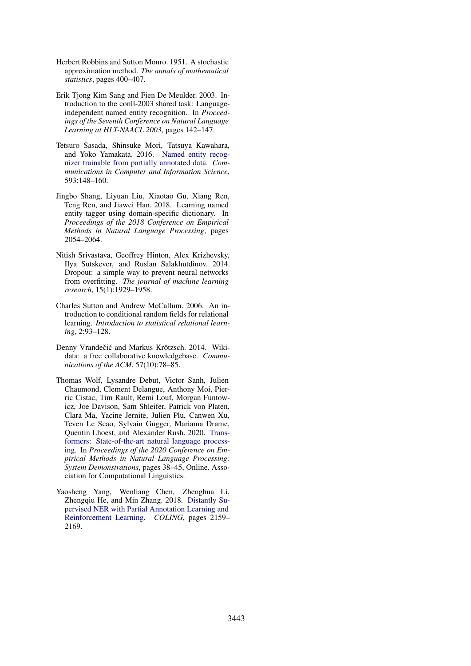- <span id="page-6-7"></span>Herbert Robbins and Sutton Monro. 1951. A stochastic approximation method. *The annals of mathematical statistics*, pages 400–407.
- <span id="page-6-5"></span>Erik Tjong Kim Sang and Fien De Meulder. 2003. Introduction to the conll-2003 shared task: Languageindependent named entity recognition. In *Proceedings of the Seventh Conference on Natural Language Learning at HLT-NAACL 2003*, pages 142–147.
- <span id="page-6-4"></span>Tetsuro Sasada, Shinsuke Mori, Tatsuya Kawahara, and Yoko Yamakata. 2016. [Named entity recog](https://doi.org/10.1007/978-981-10-0515-2_11)[nizer trainable from partially annotated data.](https://doi.org/10.1007/978-981-10-0515-2_11) *Communications in Computer and Information Science*, 593:148–160.
- <span id="page-6-3"></span>Jingbo Shang, Liyuan Liu, Xiaotao Gu, Xiang Ren, Teng Ren, and Jiawei Han. 2018. Learning named entity tagger using domain-specific dictionary. In *Proceedings of the 2018 Conference on Empirical Methods in Natural Language Processing*, pages 2054–2064.
- <span id="page-6-6"></span>Nitish Srivastava, Geoffrey Hinton, Alex Krizhevsky, Ilya Sutskever, and Ruslan Salakhutdinov. 2014. Dropout: a simple way to prevent neural networks from overfitting. *The journal of machine learning research*, 15(1):1929–1958.
- <span id="page-6-2"></span>Charles Sutton and Andrew McCallum. 2006. An introduction to conditional random fields for relational learning. *Introduction to statistical relational learning*, 2:93–128.
- <span id="page-6-0"></span>Denny Vrandečić and Markus Krötzsch. 2014. Wikidata: a free collaborative knowledgebase. *Communications of the ACM*, 57(10):78–85.
- <span id="page-6-8"></span>Thomas Wolf, Lysandre Debut, Victor Sanh, Julien Chaumond, Clement Delangue, Anthony Moi, Pierric Cistac, Tim Rault, Remi Louf, Morgan Funtowicz, Joe Davison, Sam Shleifer, Patrick von Platen, Clara Ma, Yacine Jernite, Julien Plu, Canwen Xu, Teven Le Scao, Sylvain Gugger, Mariama Drame, Quentin Lhoest, and Alexander Rush. 2020. [Trans](https://www.aclweb.org/anthology/2020.emnlp-demos.6)[formers: State-of-the-art natural language process](https://www.aclweb.org/anthology/2020.emnlp-demos.6)[ing.](https://www.aclweb.org/anthology/2020.emnlp-demos.6) In *Proceedings of the 2020 Conference on Empirical Methods in Natural Language Processing: System Demonstrations*, pages 38–45, Online. Association for Computational Linguistics.
- <span id="page-6-1"></span>Yaosheng Yang, Wenliang Chen, Zhenghua Li, Zhengqiu He, and Min Zhang. 2018. [Distantly Su](http://aclweb.org/anthology/C18-1183)[pervised NER with Partial Annotation Learning and](http://aclweb.org/anthology/C18-1183) [Reinforcement Learning.](http://aclweb.org/anthology/C18-1183) *COLING*, pages 2159– 2169.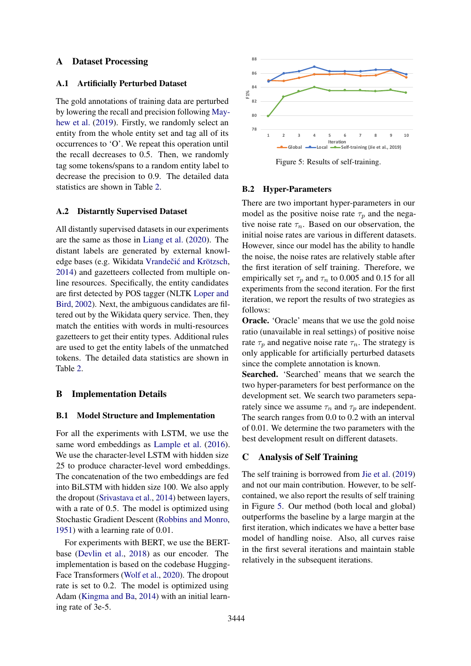### A Dataset Processing

### A.1 Artificially Perturbed Dataset

The gold annotations of training data are perturbed by lowering the recall and precision following [May](#page-5-11)[hew et al.](#page-5-11) [\(2019\)](#page-5-11). Firstly, we randomly select an entity from the whole entity set and tag all of its occurrences to 'O'. We repeat this operation until the recall decreases to 0.5. Then, we randomly tag some tokens/spans to a random entity label to decrease the precision to 0.9. The detailed data statistics are shown in Table [2.](#page-8-0)

### A.2 Distarntly Supervised Dataset

All distantly supervised datasets in our experiments are the same as those in [Liang et al.](#page-5-12) [\(2020\)](#page-5-12). The distant labels are generated by external knowledge bases (e.g. Wikidata Vrandečić and Krötzsch, [2014\)](#page-6-0) and gazetteers collected from multiple online resources. Specifically, the entity candidates are first detected by POS tagger (NLTK [Loper and](#page-5-19) [Bird,](#page-5-19) [2002\)](#page-5-19). Next, the ambiguous candidates are filtered out by the Wikidata query service. Then, they match the entities with words in multi-resources gazetteers to get their entity types. Additional rules are used to get the entity labels of the unmatched tokens. The detailed data statistics are shown in Table [2.](#page-8-0) entity from the whole entity set and tag all of its<br>occurrences to 'O'. We repeat this operation until the cecall decreases to 0.5. Then, we randomly<br>tag some tokens/spans to a random entity label to<br>decrease the precision

#### B Implementation Details

### B.1 Model Structure and Implementation

For all the experiments with LSTM, we use the same word embeddings as [Lample et al.](#page-5-0) [\(2016\)](#page-5-0). We use the character-level LSTM with hidden size 25 to produce character-level word embeddings. The concatenation of the two embeddings are fed into BiLSTM with hidden size 100. We also apply the dropout [\(Srivastava et al.,](#page-6-6) [2014\)](#page-6-6) between layers, with a rate of 0.5. The model is optimized using Stochastic Gradient Descent [\(Robbins and Monro,](#page-6-7) [1951\)](#page-6-7) with a learning rate of 0.01.

For experiments with BERT, we use the BERTbase [\(Devlin et al.,](#page-5-1) [2018\)](#page-5-1) as our encoder. The implementation is based on the codebase Hugging-Face Transformers [\(Wolf et al.,](#page-6-8) [2020\)](#page-6-8). The dropout rate is set to 0.2. The model is optimized using Adam [\(Kingma and Ba,](#page-5-20) [2014\)](#page-5-20) with an initial learn-

<span id="page-7-0"></span>

Figure 5: Results of self-training.

#### B.2 Hyper-Parameters

There are two important hyper-parameters in our model as the positive noise rate  $\tau_p$  and the negative noise rate  $\tau_n$ . Based on our observation, the initial noise rates are various in different datasets. However, since our model has the ability to handle the noise, the noise rates are relatively stable after the first iteration of self training. Therefore, we empirically set  $\tau_p$  and  $\tau_n$  to 0.005 and 0.15 for all experiments from the second iteration. For the first iteration, we report the results of two strategies as follows:

Oracle. 'Oracle' means that we use the gold noise ratio (unavailable in real settings) of positive noise rate  $\tau_p$  and negative noise rate  $\tau_n$ . The strategy is only applicable for artificially perturbed datasets since the complete annotation is known.

Searched. 'Searched' means that we search the two hyper-parameters for best performance on the development set. We search two parameters separately since we assume  $\tau_n$  and  $\tau_p$  are independent. The search ranges from 0.0 to 0.2 with an interval of 0.01. We determine the two parameters with the best development result on different datasets.

### C Analysis of Self Training

The self training is borrowed from [Jie et al.](#page-5-7) [\(2019\)](#page-5-7) and not our main contribution. However, to be selfcontained, we also report the results of self training in Figure [5.](#page-7-0) Our method (both local and global) outperforms the baseline by a large margin at the first iteration, which indicates we have a better base model of handling noise. Also, all curves raise in the first several iterations and maintain stable relatively in the subsequent iterations.